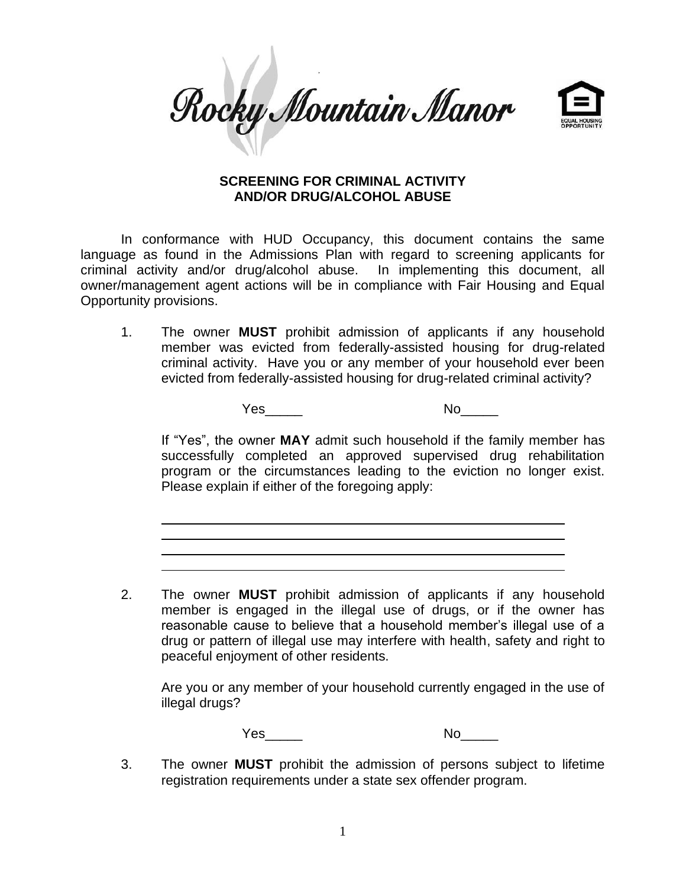Rocky Mountain Manor



## **SCREENING FOR CRIMINAL ACTIVITY AND/OR DRUG/ALCOHOL ABUSE**

In conformance with HUD Occupancy, this document contains the same language as found in the Admissions Plan with regard to screening applicants for criminal activity and/or drug/alcohol abuse. In implementing this document, all owner/management agent actions will be in compliance with Fair Housing and Equal Opportunity provisions.

1. The owner **MUST** prohibit admission of applicants if any household member was evicted from federally-assisted housing for drug-related criminal activity. Have you or any member of your household ever been evicted from federally-assisted housing for drug-related criminal activity?

Yes\_\_\_\_\_ No\_\_\_\_\_

If "Yes", the owner **MAY** admit such household if the family member has successfully completed an approved supervised drug rehabilitation program or the circumstances leading to the eviction no longer exist. Please explain if either of the foregoing apply:

2. The owner **MUST** prohibit admission of applicants if any household member is engaged in the illegal use of drugs, or if the owner has reasonable cause to believe that a household member's illegal use of a drug or pattern of illegal use may interfere with health, safety and right to peaceful enjoyment of other residents.

Are you or any member of your household currently engaged in the use of illegal drugs?

Yes\_\_\_\_\_ No\_\_\_\_\_

3. The owner **MUST** prohibit the admission of persons subject to lifetime registration requirements under a state sex offender program.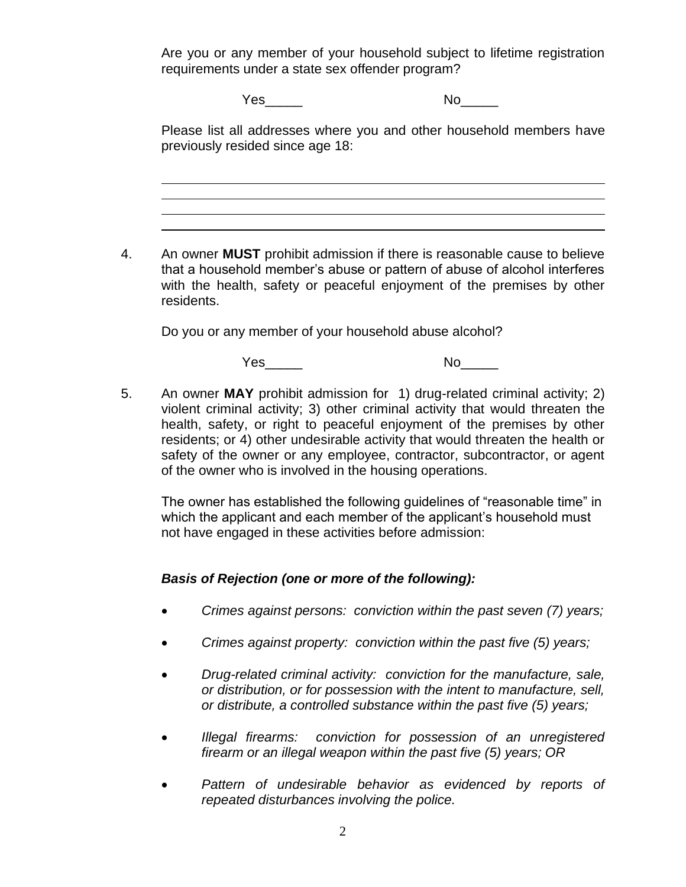Are you or any member of your household subject to lifetime registration requirements under a state sex offender program?

Yes\_\_\_\_\_ No\_\_\_\_\_

Please list all addresses where you and other household members have previously resided since age 18:

4. An owner **MUST** prohibit admission if there is reasonable cause to believe that a household member's abuse or pattern of abuse of alcohol interferes with the health, safety or peaceful enjoyment of the premises by other residents.

Do you or any member of your household abuse alcohol?

Yes\_\_\_\_\_ No\_\_\_\_\_

5. An owner **MAY** prohibit admission for 1) drug-related criminal activity; 2) violent criminal activity; 3) other criminal activity that would threaten the health, safety, or right to peaceful enjoyment of the premises by other residents; or 4) other undesirable activity that would threaten the health or safety of the owner or any employee, contractor, subcontractor, or agent of the owner who is involved in the housing operations.

The owner has established the following guidelines of "reasonable time" in which the applicant and each member of the applicant's household must not have engaged in these activities before admission:

## *Basis of Rejection (one or more of the following):*

- *Crimes against persons: conviction within the past seven (7) years;*
- *Crimes against property: conviction within the past five (5) years;*
- *Drug-related criminal activity: conviction for the manufacture, sale, or distribution, or for possession with the intent to manufacture, sell, or distribute, a controlled substance within the past five (5) years;*
- *Illegal firearms: conviction for possession of an unregistered firearm or an illegal weapon within the past five (5) years; OR*
- *Pattern of undesirable behavior as evidenced by reports of repeated disturbances involving the police.*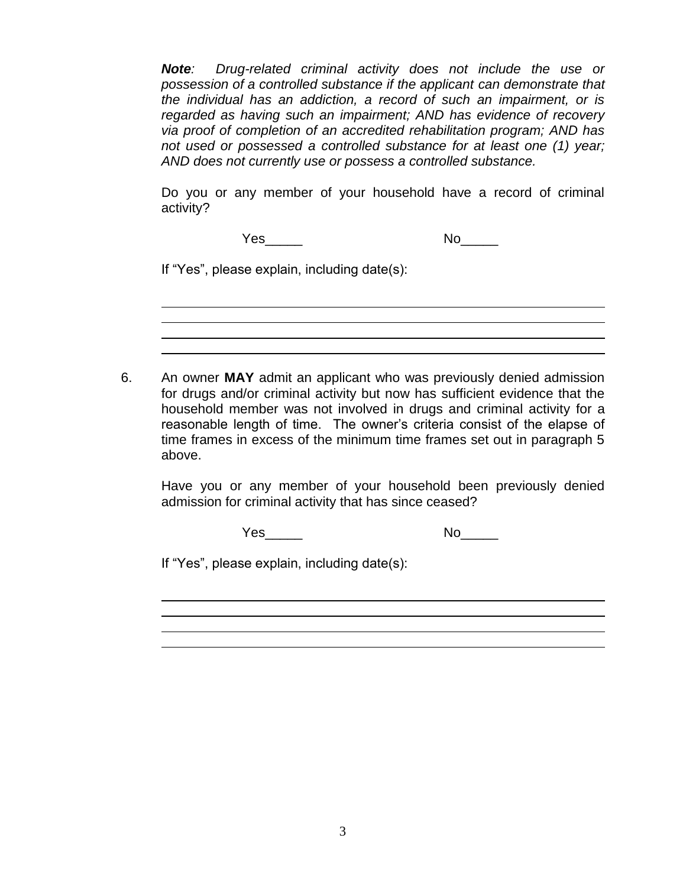*Note: Drug-related criminal activity does not include the use or possession of a controlled substance if the applicant can demonstrate that the individual has an addiction, a record of such an impairment, or is regarded as having such an impairment; AND has evidence of recovery via proof of completion of an accredited rehabilitation program; AND has not used or possessed a controlled substance for at least one (1) year; AND does not currently use or possess a controlled substance.*

Do you or any member of your household have a record of criminal activity?

Yes\_\_\_\_\_ No\_\_\_\_\_

If "Yes", please explain, including date(s):

6. An owner **MAY** admit an applicant who was previously denied admission for drugs and/or criminal activity but now has sufficient evidence that the household member was not involved in drugs and criminal activity for a reasonable length of time. The owner's criteria consist of the elapse of time frames in excess of the minimum time frames set out in paragraph 5 above.

Have you or any member of your household been previously denied admission for criminal activity that has since ceased?

Yes\_\_\_\_\_ No\_\_\_\_\_

If "Yes", please explain, including date(s):